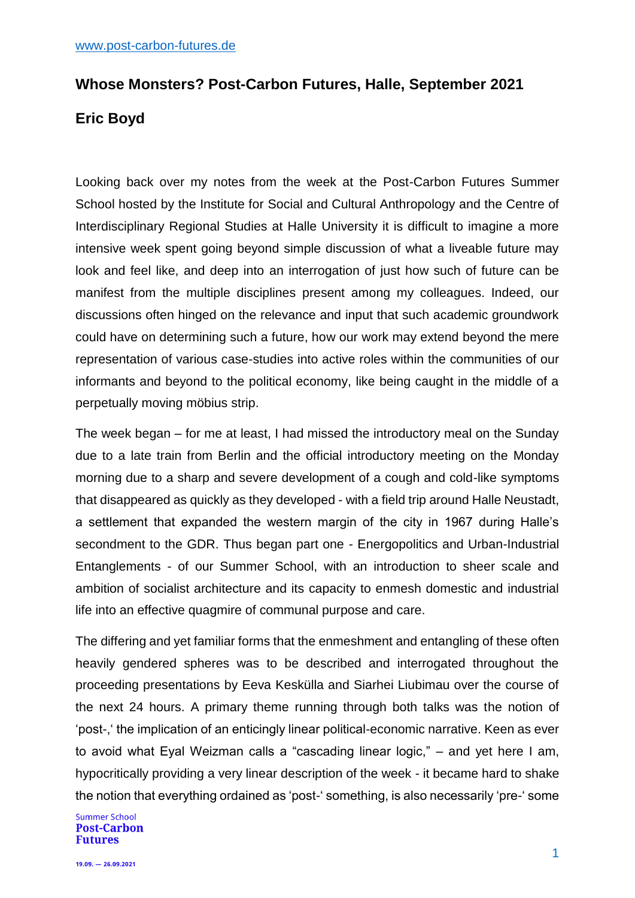## **Whose Monsters? Post-Carbon Futures, Halle, September 2021 Eric Boyd**

Looking back over my notes from the week at the Post-Carbon Futures Summer School hosted by the Institute for Social and Cultural Anthropology and the Centre of Interdisciplinary Regional Studies at Halle University it is difficult to imagine a more intensive week spent going beyond simple discussion of what a liveable future may look and feel like, and deep into an interrogation of just how such of future can be manifest from the multiple disciplines present among my colleagues. Indeed, our discussions often hinged on the relevance and input that such academic groundwork could have on determining such a future, how our work may extend beyond the mere representation of various case-studies into active roles within the communities of our informants and beyond to the political economy, like being caught in the middle of a perpetually moving möbius strip.

The week began – for me at least, I had missed the introductory meal on the Sunday due to a late train from Berlin and the official introductory meeting on the Monday morning due to a sharp and severe development of a cough and cold-like symptoms that disappeared as quickly as they developed - with a field trip around Halle Neustadt, a settlement that expanded the western margin of the city in 1967 during Halle's secondment to the GDR. Thus began part one - Energopolitics and Urban-Industrial Entanglements - of our Summer School, with an introduction to sheer scale and ambition of socialist architecture and its capacity to enmesh domestic and industrial life into an effective quagmire of communal purpose and care.

The differing and yet familiar forms that the enmeshment and entangling of these often heavily gendered spheres was to be described and interrogated throughout the proceeding presentations by Eeva Keskülla and Siarhei Liubimau over the course of the next 24 hours. A primary theme running through both talks was the notion of 'post-,' the implication of an enticingly linear political-economic narrative. Keen as ever to avoid what Eyal Weizman calls a "cascading linear logic," – and yet here I am, hypocritically providing a very linear description of the week - it became hard to shake the notion that everything ordained as 'post-' something, is also necessarily 'pre-' some

**Summer School Post-Carbon Futures**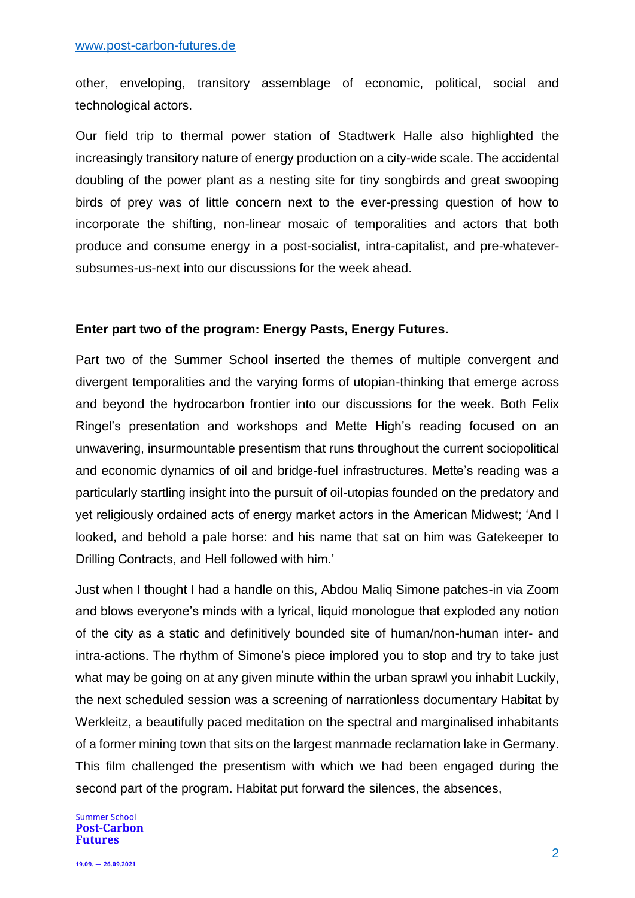other, enveloping, transitory assemblage of economic, political, social and technological actors.

Our field trip to thermal power station of Stadtwerk Halle also highlighted the increasingly transitory nature of energy production on a city-wide scale. The accidental doubling of the power plant as a nesting site for tiny songbirds and great swooping birds of prey was of little concern next to the ever-pressing question of how to incorporate the shifting, non-linear mosaic of temporalities and actors that both produce and consume energy in a post-socialist, intra-capitalist, and pre-whateversubsumes-us-next into our discussions for the week ahead.

## **Enter part two of the program: Energy Pasts, Energy Futures.**

Part two of the Summer School inserted the themes of multiple convergent and divergent temporalities and the varying forms of utopian-thinking that emerge across and beyond the hydrocarbon frontier into our discussions for the week. Both Felix Ringel's presentation and workshops and Mette High's reading focused on an unwavering, insurmountable presentism that runs throughout the current sociopolitical and economic dynamics of oil and bridge-fuel infrastructures. Mette's reading was a particularly startling insight into the pursuit of oil-utopias founded on the predatory and yet religiously ordained acts of energy market actors in the American Midwest; 'And I looked, and behold a pale horse: and his name that sat on him was Gatekeeper to Drilling Contracts, and Hell followed with him.'

Just when I thought I had a handle on this, Abdou Maliq Simone patches-in via Zoom and blows everyone's minds with a lyrical, liquid monologue that exploded any notion of the city as a static and definitively bounded site of human/non-human inter- and intra-actions. The rhythm of Simone's piece implored you to stop and try to take just what may be going on at any given minute within the urban sprawl you inhabit Luckily, the next scheduled session was a screening of narrationless documentary Habitat by Werkleitz, a beautifully paced meditation on the spectral and marginalised inhabitants of a former mining town that sits on the largest manmade reclamation lake in Germany. This film challenged the presentism with which we had been engaged during the second part of the program. Habitat put forward the silences, the absences,

**Summer School Post-Carbon Futures**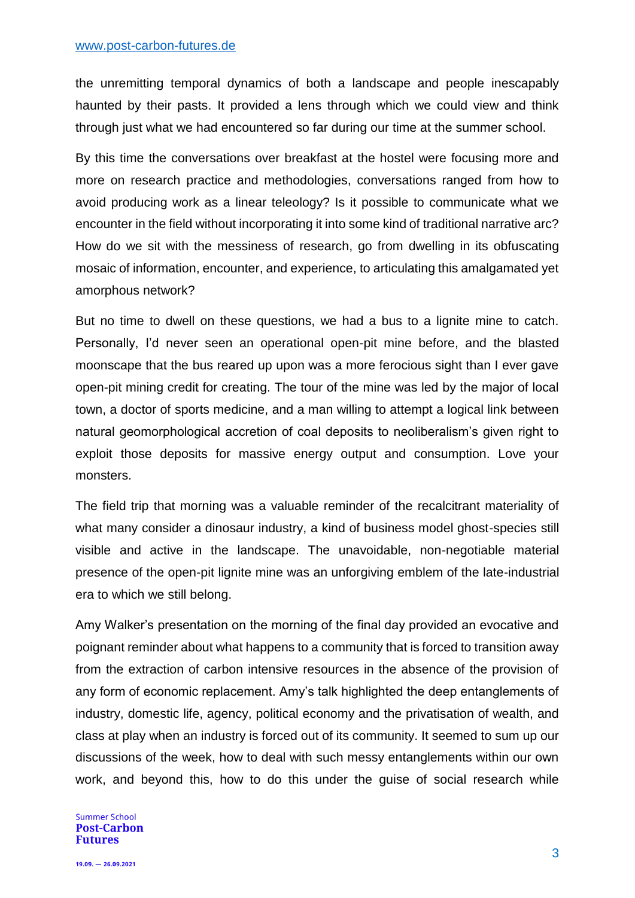the unremitting temporal dynamics of both a landscape and people inescapably haunted by their pasts. It provided a lens through which we could view and think through just what we had encountered so far during our time at the summer school.

By this time the conversations over breakfast at the hostel were focusing more and more on research practice and methodologies, conversations ranged from how to avoid producing work as a linear teleology? Is it possible to communicate what we encounter in the field without incorporating it into some kind of traditional narrative arc? How do we sit with the messiness of research, go from dwelling in its obfuscating mosaic of information, encounter, and experience, to articulating this amalgamated yet amorphous network?

But no time to dwell on these questions, we had a bus to a lignite mine to catch. Personally, I'd never seen an operational open-pit mine before, and the blasted moonscape that the bus reared up upon was a more ferocious sight than I ever gave open-pit mining credit for creating. The tour of the mine was led by the major of local town, a doctor of sports medicine, and a man willing to attempt a logical link between natural geomorphological accretion of coal deposits to neoliberalism's given right to exploit those deposits for massive energy output and consumption. Love your monsters.

The field trip that morning was a valuable reminder of the recalcitrant materiality of what many consider a dinosaur industry, a kind of business model ghost-species still visible and active in the landscape. The unavoidable, non-negotiable material presence of the open-pit lignite mine was an unforgiving emblem of the late-industrial era to which we still belong.

Amy Walker's presentation on the morning of the final day provided an evocative and poignant reminder about what happens to a community that is forced to transition away from the extraction of carbon intensive resources in the absence of the provision of any form of economic replacement. Amy's talk highlighted the deep entanglements of industry, domestic life, agency, political economy and the privatisation of wealth, and class at play when an industry is forced out of its community. It seemed to sum up our discussions of the week, how to deal with such messy entanglements within our own work, and beyond this, how to do this under the guise of social research while

**Summer School Post-Carbon Futures**